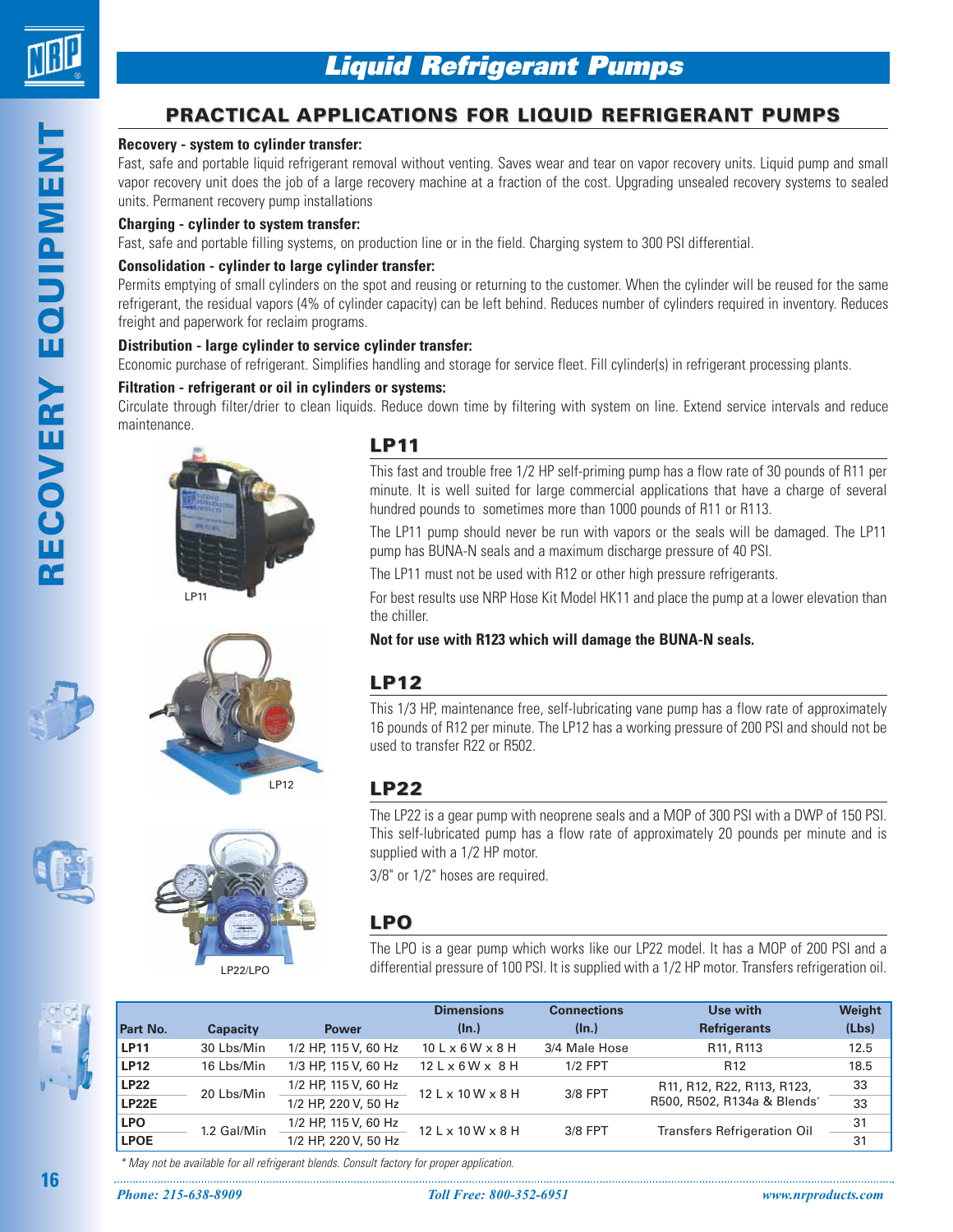

**RY EQUIPMENT OVERY EQUIPMENT Y EQUIPMENT**

# **PRACTICAL APPLICATIONS FOR LIQUID REFRIGERANT PUMPS**

#### **Recovery - system to cylinder transfer:**

Fast, safe and portable liquid refrigerant removal without venting. Saves wear and tear on vapor recovery units. Liquid pump and small vapor recovery unit does the job of a large recovery machine at a fraction of the cost. Upgrading unsealed recovery systems to sealed units. Permanent recovery pump installations

#### **Charging - cylinder to system transfer:**

Fast, safe and portable filling systems, on production line or in the field. Charging system to 300 PSI differential.

### **Consolidation - cylinder to large cylinder transfer:**

Permits emptying of small cylinders on the spot and reusing or returning to the customer. When the cylinder will be reused for the same refrigerant, the residual vapors (4% of cylinder capacity) can be left behind. Reduces number of cylinders required in inventory. Reduces freight and paperwork for reclaim programs.

#### **Distribution - large cylinder to service cylinder transfer:**

Economic purchase of refrigerant. Simplifies handling and storage for service fleet. Fill cylinder(s) in refrigerant processing plants.

#### **Filtration - refrigerant or oil in cylinders or systems:**

LP12

LP22/LPO

Circulate through filter/drier to clean liquids. Reduce down time by filtering with system on line. Extend service intervals and reduce maintenance.



# **LP11**

This fast and trouble free 1/2 HP self-priming pump has a flow rate of 30 pounds of R11 per minute. It is well suited for large commercial applications that have a charge of several hundred pounds to sometimes more than 1000 pounds of R11 or R113.

The LP11 pump should never be run with vapors or the seals will be damaged. The LP11 pump has BUNA-N seals and a maximum discharge pressure of 40 PSI.

The LP11 must not be used with R12 or other high pressure refrigerants.

For best results use NRP Hose Kit Model HK11 and place the pump at a lower elevation than the chiller.

**Not for use with R123 which will damage the BUNA-N seals.**

# **LP12**

This 1/3 HP, maintenance free, self-lubricating vane pump has a flow rate of approximately 16 pounds of R12 per minute. The LP12 has a working pressure of 200 PSI and should not be used to transfer R22 or R502.

# **LP22**

The LP22 is a gear pump with neoprene seals and a MOP of 300 PSI with a DWP of 150 PSI. This self-lubricated pump has a flow rate of approximately 20 pounds per minute and is supplied with a 1/2 HP motor.

3/8" or 1/2" hoses are required.

# **LPO**

The LPO is a gear pump which works like our LP22 model. It has a MOP of 200 PSI and a differential pressure of 100 PSI. It is supplied with a 1/2 HP motor. Transfers refrigeration oil.



| Part No.     | <b>Capacity</b> | <b>Power</b>         | <b>Dimensions</b><br>(ln.)       | <b>Connections</b><br>$(\ln.)$ | Use with<br><b>Refrigerants</b>    | Weight<br>(Lbs) |
|--------------|-----------------|----------------------|----------------------------------|--------------------------------|------------------------------------|-----------------|
| <b>LP11</b>  | 30 Lbs/Min      | 1/2 HP, 115 V, 60 Hz | $10$ L $\times$ 6 W $\times$ 8 H | 3/4 Male Hose                  | R <sub>11</sub> , R <sub>113</sub> | 12.5            |
| <b>LP12</b>  | 16 Lbs/Min      | 1/3 HP, 115 V, 60 Hz | $12$ L $\times$ 6 W $\times$ 8 H | $1/2$ FPT                      | R <sub>12</sub>                    | 18.5            |
| <b>LP22</b>  | 20 Lbs/Min      | 1/2 HP, 115 V, 60 Hz | 12 L x 10 W x 8 H                | 3/8 FPT                        | R11, R12, R22, R113, R123,         | 33              |
| <b>LP22E</b> |                 | 1/2 HP, 220 V, 50 Hz |                                  |                                | R500, R502, R134a & Blends*        | 33              |
| <b>LPO</b>   | 1.2 Gal/Min     | 1/2 HP, 115 V, 60 Hz | $12 L \times 10 W \times 8 H$    | 3/8 FPT                        | <b>Transfers Refrigeration Oil</b> | 31              |
| <b>LPOE</b>  |                 | 1/2 HP, 220 V, 50 Hz |                                  |                                |                                    | 31              |

\* May not be available for all refrigerant blends. Consult factory for proper application.

**16**